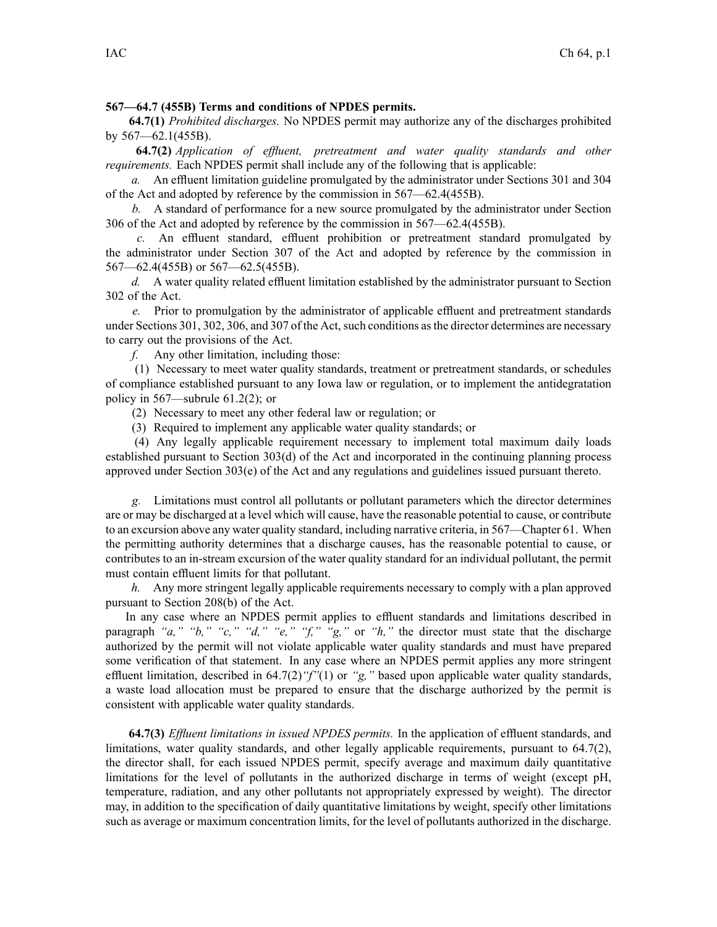## **567—64.7 (455B) Terms and conditions of NPDES permits.**

**64.7(1)** *Prohibited discharges.* No NPDES permit may authorize any of the discharges prohibited by 567—62.1(455B).

**64.7(2)** *Application of effluent, pretreatment and water quality standards and other requirements.* Each NPDES permit shall include any of the following that is applicable:

*a.* An effluent limitation guideline promulgated by the administrator under Sections 301 and 304 of the Act and adopted by reference by the commission in 567—62.4(455B).

*b.* A standard of performance for <sup>a</sup> new source promulgated by the administrator under Section 306 of the Act and adopted by reference by the commission in 567—62.4(455B).

*c.* An effluent standard, effluent prohibition or pretreatment standard promulgated by the administrator under Section 307 of the Act and adopted by reference by the commission in 567—62.4(455B) or 567—62.5(455B).

*d.* A water quality related effluent limitation established by the administrator pursuan<sup>t</sup> to Section 302 of the Act.

*e.* Prior to promulgation by the administrator of applicable effluent and pretreatment standards under Sections 301, 302, 306, and 307 of the Act, such conditions as the director determines are necessary to carry out the provisions of the Act.

*f.* Any other limitation, including those:

(1) Necessary to meet water quality standards, treatment or pretreatment standards, or schedules of compliance established pursuan<sup>t</sup> to any Iowa law or regulation, or to implement the antidegratation policy in 567—subrule 61.2(2); or

(2) Necessary to meet any other federal law or regulation; or

(3) Required to implement any applicable water quality standards; or

(4) Any legally applicable requirement necessary to implement total maximum daily loads established pursuan<sup>t</sup> to Section 303(d) of the Act and incorporated in the continuing planning process approved under Section 303(e) of the Act and any regulations and guidelines issued pursuan<sup>t</sup> thereto.

*g.* Limitations must control all pollutants or pollutant parameters which the director determines are or may be discharged at <sup>a</sup> level which will cause, have the reasonable potential to cause, or contribute to an excursion above any water quality standard, including narrative criteria, in 567—Chapter 61. When the permitting authority determines that <sup>a</sup> discharge causes, has the reasonable potential to cause, or contributes to an in-stream excursion of the water quality standard for an individual pollutant, the permit must contain effluent limits for that pollutant.

*h.* Any more stringent legally applicable requirements necessary to comply with <sup>a</sup> plan approved pursuan<sup>t</sup> to Section 208(b) of the Act.

In any case where an NPDES permit applies to effluent standards and limitations described in paragraph *"a," "b," "c," "d," "e," "f," "g,"* or *"h,"* the director must state that the discharge authorized by the permit will not violate applicable water quality standards and must have prepared some verification of that statement. In any case where an NPDES permit applies any more stringent effluent limitation, described in 64.7(2)*"f"*(1) or *"g,"* based upon applicable water quality standards, <sup>a</sup> waste load allocation must be prepared to ensure that the discharge authorized by the permit is consistent with applicable water quality standards.

**64.7(3)** *Effluent limitations in issued NPDES permits.* In the application of effluent standards, and limitations, water quality standards, and other legally applicable requirements, pursuan<sup>t</sup> to 64.7(2), the director shall, for each issued NPDES permit, specify average and maximum daily quantitative limitations for the level of pollutants in the authorized discharge in terms of weight (except pH, temperature, radiation, and any other pollutants not appropriately expressed by weight). The director may, in addition to the specification of daily quantitative limitations by weight, specify other limitations such as average or maximum concentration limits, for the level of pollutants authorized in the discharge.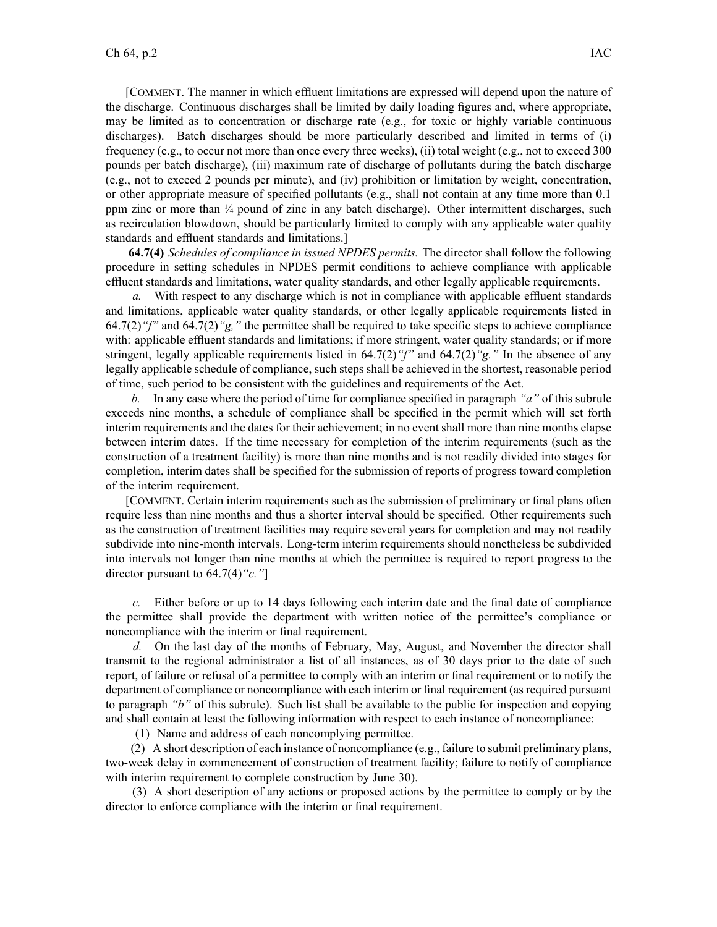[COMMENT. The manner in which effluent limitations are expressed will depend upon the nature of the discharge. Continuous discharges shall be limited by daily loading figures and, where appropriate, may be limited as to concentration or discharge rate (e.g., for toxic or highly variable continuous discharges). Batch discharges should be more particularly described and limited in terms of (i) frequency (e.g., to occur not more than once every three weeks), (ii) total weight (e.g., not to exceed 300 pounds per batch discharge), (iii) maximum rate of discharge of pollutants during the batch discharge (e.g., not to exceed 2 pounds per minute), and (iv) prohibition or limitation by weight, concentration, or other appropriate measure of specified pollutants (e.g., shall not contain at any time more than 0.1 ppm zinc or more than ¼ pound of zinc in any batch discharge). Other intermittent discharges, such as recirculation blowdown, should be particularly limited to comply with any applicable water quality standards and effluent standards and limitations.]

**64.7(4)** *Schedules of compliance in issued NPDES permits.* The director shall follow the following procedure in setting schedules in NPDES permit conditions to achieve compliance with applicable effluent standards and limitations, water quality standards, and other legally applicable requirements.

*a.* With respec<sup>t</sup> to any discharge which is not in compliance with applicable effluent standards and limitations, applicable water quality standards, or other legally applicable requirements listed in 64.7(2)*"f"* and 64.7(2)*"g,"* the permittee shall be required to take specific steps to achieve compliance with: applicable effluent standards and limitations; if more stringent, water quality standards; or if more stringent, legally applicable requirements listed in 64.7(2)*"f"* and 64.7(2)*"g."* In the absence of any legally applicable schedule of compliance, such steps shall be achieved in the shortest, reasonable period of time, such period to be consistent with the guidelines and requirements of the Act.

*b.* In any case where the period of time for compliance specified in paragraph *"a"* of this subrule exceeds nine months, <sup>a</sup> schedule of compliance shall be specified in the permit which will set forth interim requirements and the dates for their achievement; in no event shall more than nine months elapse between interim dates. If the time necessary for completion of the interim requirements (such as the construction of <sup>a</sup> treatment facility) is more than nine months and is not readily divided into stages for completion, interim dates shall be specified for the submission of reports of progress toward completion of the interim requirement.

[COMMENT. Certain interim requirements such as the submission of preliminary or final plans often require less than nine months and thus <sup>a</sup> shorter interval should be specified. Other requirements such as the construction of treatment facilities may require several years for completion and may not readily subdivide into nine-month intervals. Long-term interim requirements should nonetheless be subdivided into intervals not longer than nine months at which the permittee is required to repor<sup>t</sup> progress to the director pursuan<sup>t</sup> to 64.7(4)*"c."*]

*c.* Either before or up to 14 days following each interim date and the final date of compliance the permittee shall provide the department with written notice of the permittee's compliance or noncompliance with the interim or final requirement.

*d.* On the last day of the months of February, May, August, and November the director shall transmit to the regional administrator <sup>a</sup> list of all instances, as of 30 days prior to the date of such report, of failure or refusal of <sup>a</sup> permittee to comply with an interim or final requirement or to notify the department of compliance or noncompliance with each interim or final requirement (asrequired pursuan<sup>t</sup> to paragraph *"b"* of this subrule). Such list shall be available to the public for inspection and copying and shall contain at least the following information with respect to each instance of noncompliance:

(1) Name and address of each noncomplying permittee.

(2) A short description of each instance of noncompliance (e.g., failure to submit preliminary plans, two-week delay in commencement of construction of treatment facility; failure to notify of compliance with interim requirement to complete construction by June 30).

(3) A short description of any actions or proposed actions by the permittee to comply or by the director to enforce compliance with the interim or final requirement.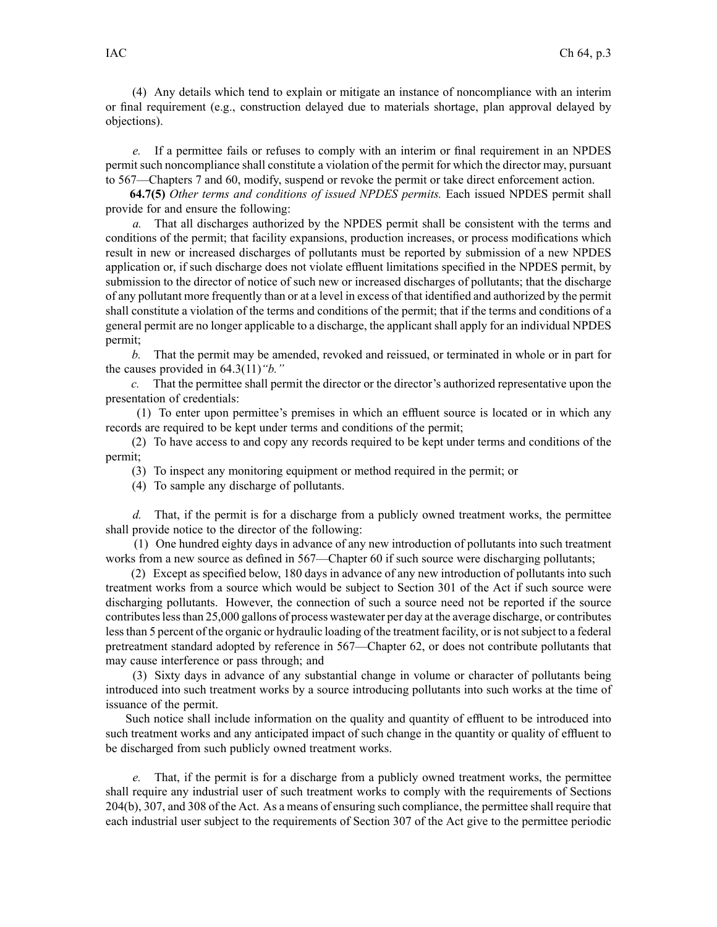(4) Any details which tend to explain or mitigate an instance of noncompliance with an interim or final requirement (e.g., construction delayed due to materials shortage, plan approval delayed by objections).

*e.* If <sup>a</sup> permittee fails or refuses to comply with an interim or final requirement in an NPDES permit such noncompliance shall constitute <sup>a</sup> violation of the permit for which the director may, pursuan<sup>t</sup> to 567—Chapters 7 and 60, modify, suspend or revoke the permit or take direct enforcement action.

**64.7(5)** *Other terms and conditions of issued NPDES permits.* Each issued NPDES permit shall provide for and ensure the following:

*a.* That all discharges authorized by the NPDES permit shall be consistent with the terms and conditions of the permit; that facility expansions, production increases, or process modifications which result in new or increased discharges of pollutants must be reported by submission of <sup>a</sup> new NPDES application or, if such discharge does not violate effluent limitations specified in the NPDES permit, by submission to the director of notice of such new or increased discharges of pollutants; that the discharge of any pollutant more frequently than or at <sup>a</sup> level in excess of that identified and authorized by the permit shall constitute <sup>a</sup> violation of the terms and conditions of the permit; that if the terms and conditions of <sup>a</sup> general permit are no longer applicable to <sup>a</sup> discharge, the applicant shall apply for an individual NPDES permit;

*b.* That the permit may be amended, revoked and reissued, or terminated in whole or in par<sup>t</sup> for the causes provided in 64.3(11)*"b."*

*c.* That the permittee shall permit the director or the director's authorized representative upon the presentation of credentials:

(1) To enter upon permittee's premises in which an effluent source is located or in which any records are required to be kept under terms and conditions of the permit;

(2) To have access to and copy any records required to be kept under terms and conditions of the permit;

(3) To inspect any monitoring equipment or method required in the permit; or

(4) To sample any discharge of pollutants.

*d.* That, if the permit is for <sup>a</sup> discharge from <sup>a</sup> publicly owned treatment works, the permittee shall provide notice to the director of the following:

(1) One hundred eighty days in advance of any new introduction of pollutants into such treatment works from a new source as defined in 567—Chapter 60 if such source were discharging pollutants;

(2) Except as specified below, 180 days in advance of any new introduction of pollutants into such treatment works from <sup>a</sup> source which would be subject to Section 301 of the Act if such source were discharging pollutants. However, the connection of such <sup>a</sup> source need not be reported if the source contributeslessthan 25,000 gallons of process wastewater per day at the average discharge, or contributes lessthan 5 percen<sup>t</sup> of the organic or hydraulic loading of the treatment facility, or is notsubject to <sup>a</sup> federal pretreatment standard adopted by reference in 567—Chapter 62, or does not contribute pollutants that may cause interference or pass through; and

(3) Sixty days in advance of any substantial change in volume or character of pollutants being introduced into such treatment works by <sup>a</sup> source introducing pollutants into such works at the time of issuance of the permit.

Such notice shall include information on the quality and quantity of effluent to be introduced into such treatment works and any anticipated impact of such change in the quantity or quality of effluent to be discharged from such publicly owned treatment works.

*e.* That, if the permit is for <sup>a</sup> discharge from <sup>a</sup> publicly owned treatment works, the permittee shall require any industrial user of such treatment works to comply with the requirements of Sections 204(b), 307, and 308 of the Act. As <sup>a</sup> means of ensuring such compliance, the permittee shall require that each industrial user subject to the requirements of Section 307 of the Act give to the permittee periodic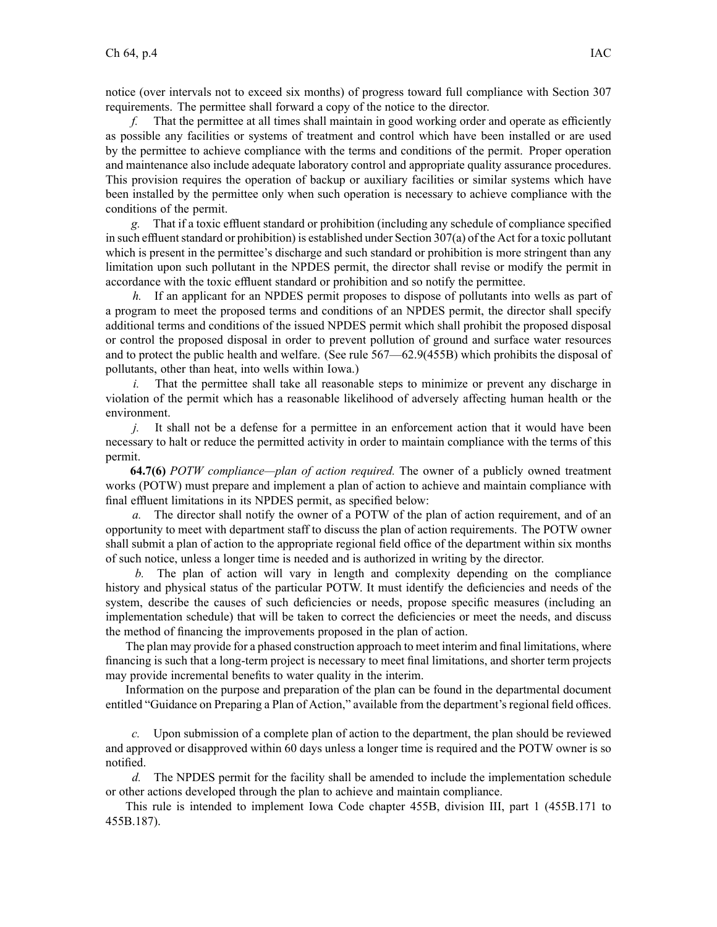notice (over intervals not to exceed six months) of progress toward full compliance with Section 307 requirements. The permittee shall forward <sup>a</sup> copy of the notice to the director.

*f.* That the permittee at all times shall maintain in good working order and operate as efficiently as possible any facilities or systems of treatment and control which have been installed or are used by the permittee to achieve compliance with the terms and conditions of the permit. Proper operation and maintenance also include adequate laboratory control and appropriate quality assurance procedures. This provision requires the operation of backup or auxiliary facilities or similar systems which have been installed by the permittee only when such operation is necessary to achieve compliance with the conditions of the permit.

*g.* That if <sup>a</sup> toxic effluent standard or prohibition (including any schedule of compliance specified in such effluent standard or prohibition) is established under Section  $307(a)$  of the Act for a toxic pollutant which is present in the permittee's discharge and such standard or prohibition is more stringent than any limitation upon such pollutant in the NPDES permit, the director shall revise or modify the permit in accordance with the toxic effluent standard or prohibition and so notify the permittee.

*h.* If an applicant for an NPDES permit proposes to dispose of pollutants into wells as part of <sup>a</sup> program to meet the proposed terms and conditions of an NPDES permit, the director shall specify additional terms and conditions of the issued NPDES permit which shall prohibit the proposed disposal or control the proposed disposal in order to preven<sup>t</sup> pollution of ground and surface water resources and to protect the public health and welfare. (See rule 567—62.9(455B) which prohibits the disposal of pollutants, other than heat, into wells within Iowa.)

*i.* That the permittee shall take all reasonable steps to minimize or prevent any discharge in violation of the permit which has <sup>a</sup> reasonable likelihood of adversely affecting human health or the environment.

*j.* It shall not be a defense for a permittee in an enforcement action that it would have been necessary to halt or reduce the permitted activity in order to maintain compliance with the terms of this permit.

**64.7(6)** *POTW compliance—plan of action required.* The owner of <sup>a</sup> publicly owned treatment works (POTW) must prepare and implement <sup>a</sup> plan of action to achieve and maintain compliance with final effluent limitations in its NPDES permit, as specified below:

*a.* The director shall notify the owner of <sup>a</sup> POTW of the plan of action requirement, and of an opportunity to meet with department staff to discuss the plan of action requirements. The POTW owner shall submit <sup>a</sup> plan of action to the appropriate regional field office of the department within six months of such notice, unless <sup>a</sup> longer time is needed and is authorized in writing by the director.

*b.* The plan of action will vary in length and complexity depending on the compliance history and physical status of the particular POTW. It must identify the deficiencies and needs of the system, describe the causes of such deficiencies or needs, propose specific measures (including an implementation schedule) that will be taken to correct the deficiencies or meet the needs, and discuss the method of financing the improvements proposed in the plan of action.

The plan may provide for <sup>a</sup> phased construction approach to meet interim and final limitations, where financing is such that <sup>a</sup> long-term project is necessary to meet final limitations, and shorter term projects may provide incremental benefits to water quality in the interim.

Information on the purpose and preparation of the plan can be found in the departmental document entitled "Guidance on Preparing <sup>a</sup> Plan of Action," available from the department's regional field offices.

*c.* Upon submission of <sup>a</sup> complete plan of action to the department, the plan should be reviewed and approved or disapproved within 60 days unless <sup>a</sup> longer time is required and the POTW owner is so notified.

*d.* The NPDES permit for the facility shall be amended to include the implementation schedule or other actions developed through the plan to achieve and maintain compliance.

This rule is intended to implement Iowa Code chapter 455B, division III, par<sup>t</sup> 1 (455B.171 to 455B.187).